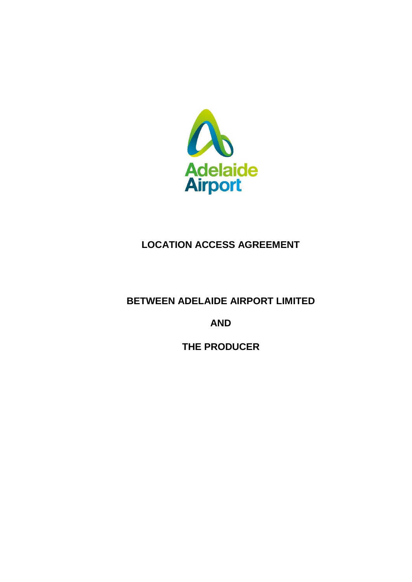

# **LOCATION ACCESS AGREEMENT**

**BETWEEN ADELAIDE AIRPORT LIMITED** 

**AND**

**THE PRODUCER**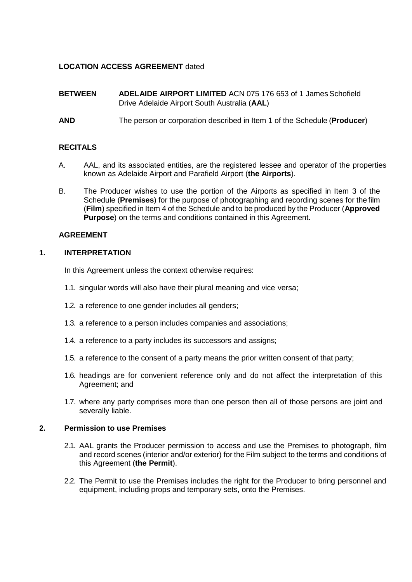# **LOCATION ACCESS AGREEMENT** dated

- **BETWEEN ADELAIDE AIRPORT LIMITED** ACN 075 176 653 of 1 James Schofield Drive Adelaide Airport South Australia (**AAL**)
- **AND** The person or corporation described in Item 1 of the Schedule (**Producer**)

# **RECITALS**

- A. AAL, and its associated entities, are the registered lessee and operator of the properties known as Adelaide Airport and Parafield Airport (**the Airports**).
- B. The Producer wishes to use the portion of the Airports as specified in Item 3 of the Schedule (**Premises**) for the purpose of photographing and recording scenes for the film (**Film**) specified in Item 4 of the Schedule and to be produced by the Producer (**Approved Purpose**) on the terms and conditions contained in this Agreement.

## **AGREEMENT**

## **1. INTERPRETATION**

In this Agreement unless the context otherwise requires:

- 1.1. singular words will also have their plural meaning and vice versa;
- 1.2. a reference to one gender includes all genders;
- 1.3. a reference to a person includes companies and associations;
- 1.4. a reference to a party includes its successors and assigns;
- 1.5. a reference to the consent of a party means the prior written consent of that party;
- 1.6. headings are for convenient reference only and do not affect the interpretation of this Agreement; and
- 1.7. where any party comprises more than one person then all of those persons are joint and severally liable.

## **2. Permission to use Premises**

- 2.1. AAL grants the Producer permission to access and use the Premises to photograph, film and record scenes (interior and/or exterior) for the Film subject to the terms and conditions of this Agreement (**the Permit**).
- 2.2. The Permit to use the Premises includes the right for the Producer to bring personnel and equipment, including props and temporary sets, onto the Premises.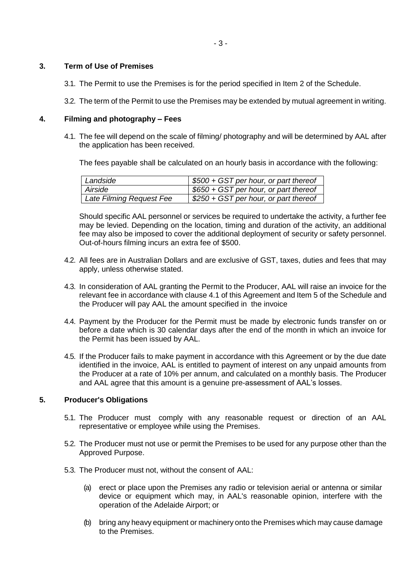## **3. Term of Use of Premises**

- 3.1. The Permit to use the Premises is for the period specified in Item 2 of the Schedule.
- 3.2. The term of the Permit to use the Premises may be extended by mutual agreement in writing.

## **4. Filming and photography – Fees**

4.1. The fee will depend on the scale of filming/ photography and will be determined by AAL after the application has been received.

The fees payable shall be calculated on an hourly basis in accordance with the following:

| Landside                 | \$500 + GST per hour, or part thereof |
|--------------------------|---------------------------------------|
| Airside                  | \$650 + GST per hour, or part thereof |
| Late Filming Request Fee | \$250 + GST per hour, or part thereof |

Should specific AAL personnel or services be required to undertake the activity, a further fee may be levied. Depending on the location, timing and duration of the activity, an additional fee may also be imposed to cover the additional deployment of security or safety personnel. Out-of-hours filming incurs an extra fee of \$500.

- 4.2. All fees are in Australian Dollars and are exclusive of GST, taxes, duties and fees that may apply, unless otherwise stated.
- 4.3. In consideration of AAL granting the Permit to the Producer, AAL will raise an invoice for the relevant fee in accordance with clause 4.1 of this Agreement and Item 5 of the Schedule and the Producer will pay AAL the amount specified in the invoice
- 4.4. Payment by the Producer for the Permit must be made by electronic funds transfer on or before a date which is 30 calendar days after the end of the month in which an invoice for the Permit has been issued by AAL.
- 4.5. If the Producer fails to make payment in accordance with this Agreement or by the due date identified in the invoice, AAL is entitled to payment of interest on any unpaid amounts from the Producer at a rate of 10% per annum, and calculated on a monthly basis. The Producer and AAL agree that this amount is a genuine pre-assessment of AAL's losses.

#### **5. Producer's Obligations**

- 5.1. The Producer must comply with any reasonable request or direction of an AAL representative or employee while using the Premises.
- 5.2. The Producer must not use or permit the Premises to be used for any purpose other than the Approved Purpose.
- 5.3. The Producer must not, without the consent of AAL:
	- (a) erect or place upon the Premises any radio or television aerial or antenna or similar device or equipment which may, in AAL's reasonable opinion, interfere with the operation of the Adelaide Airport; or
	- (b) bring any heavy equipment or machinery onto the Premises which may cause damage to the Premises.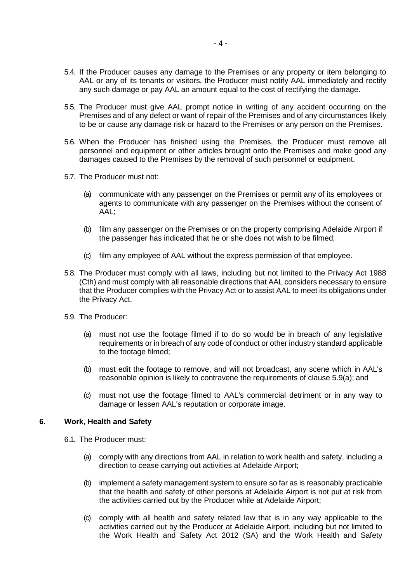- 5.4. If the Producer causes any damage to the Premises or any property or item belonging to AAL or any of its tenants or visitors, the Producer must notify AAL immediately and rectify any such damage or pay AAL an amount equal to the cost of rectifying the damage.
- 5.5. The Producer must give AAL prompt notice in writing of any accident occurring on the Premises and of any defect or want of repair of the Premises and of any circumstances likely to be or cause any damage risk or hazard to the Premises or any person on the Premises.
- 5.6. When the Producer has finished using the Premises, the Producer must remove all personnel and equipment or other articles brought onto the Premises and make good any damages caused to the Premises by the removal of such personnel or equipment.
- 5.7. The Producer must not:
	- (a) communicate with any passenger on the Premises or permit any of its employees or agents to communicate with any passenger on the Premises without the consent of AAL;
	- (b) film any passenger on the Premises or on the property comprising Adelaide Airport if the passenger has indicated that he or she does not wish to be filmed;
	- (c) film any employee of AAL without the express permission of that employee.
- 5.8. The Producer must comply with all laws, including but not limited to the Privacy Act 1988 (Cth) and must comply with all reasonable directions that AAL considers necessary to ensure that the Producer complies with the Privacy Act or to assist AAL to meet its obligations under the Privacy Act.
- 5.9. The Producer:
	- (a) must not use the footage filmed if to do so would be in breach of any legislative requirements or in breach of any code of conduct or other industry standard applicable to the footage filmed;
	- (b) must edit the footage to remove, and will not broadcast, any scene which in AAL's reasonable opinion is likely to contravene the requirements of clause 5.9(a); and
	- (c) must not use the footage filmed to AAL's commercial detriment or in any way to damage or lessen AAL's reputation or corporate image.

#### **6. Work, Health and Safety**

- 6.1. The Producer must:
	- (a) comply with any directions from AAL in relation to work health and safety, including a direction to cease carrying out activities at Adelaide Airport;
	- (b) implement a safety management system to ensure so far as is reasonably practicable that the health and safety of other persons at Adelaide Airport is not put at risk from the activities carried out by the Producer while at Adelaide Airport;
	- (c) comply with all health and safety related law that is in any way applicable to the activities carried out by the Producer at Adelaide Airport, including but not limited to the Work Health and Safety Act 2012 (SA) and the Work Health and Safety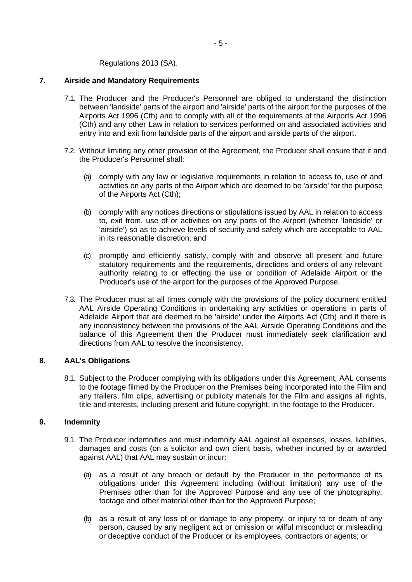Regulations 2013 (SA).

## **7. Airside and Mandatory Requirements**

- 7.1. The Producer and the Producer's Personnel are obliged to understand the distinction between 'landside' parts of the airport and 'airside' parts of the airport for the purposes of the Airports Act 1996 (Cth) and to comply with all of the requirements of the Airports Act 1996 (Cth) and any other Law in relation to services performed on and associated activities and entry into and exit from landside parts of the airport and airside parts of the airport.
- 7.2. Without limiting any other provision of the Agreement, the Producer shall ensure that it and the Producer's Personnel shall:
	- (a) comply with any law or legislative requirements in relation to access to, use of and activities on any parts of the Airport which are deemed to be 'airside' for the purpose of the Airports Act (Cth);
	- (b) comply with any notices directions or stipulations issued by AAL in relation to access to, exit from, use of or activities on any parts of the Airport (whether 'landside' or 'airside') so as to achieve levels of security and safety which are acceptable to AAL in its reasonable discretion; and
	- (c) promptly and efficiently satisfy, comply with and observe all present and future statutory requirements and the requirements, directions and orders of any relevant authority relating to or effecting the use or condition of Adelaide Airport or the Producer's use of the airport for the purposes of the Approved Purpose.
- 7.3. The Producer must at all times comply with the provisions of the policy document entitled AAL Airside Operating Conditions in undertaking any activities or operations in parts of Adelaide Airport that are deemed to be 'airside' under the Airports Act (Cth) and if there is any inconsistency between the provisions of the AAL Airside Operating Conditions and the balance of this Agreement then the Producer must immediately seek clarification and directions from AAL to resolve the inconsistency.

# **8. AAL's Obligations**

8.1. Subject to the Producer complying with its obligations under this Agreement, AAL consents to the footage filmed by the Producer on the Premises being incorporated into the Film and any trailers, film clips, advertising or publicity materials for the Film and assigns all rights, title and interests, including present and future copyright, in the footage to the Producer.

# **9. Indemnity**

- 9.1. The Producer indemnifies and must indemnify AAL against all expenses, losses, liabilities, damages and costs (on a solicitor and own client basis, whether incurred by or awarded against AAL) that AAL may sustain or incur:
	- (a) as a result of any breach or default by the Producer in the performance of its obligations under this Agreement including (without limitation) any use of the Premises other than for the Approved Purpose and any use of the photography, footage and other material other than for the Approved Purpose;
	- (b) as a result of any loss of or damage to any property, or injury to or death of any person, caused by any negligent act or omission or wilful misconduct or misleading or deceptive conduct of the Producer or its employees, contractors or agents; or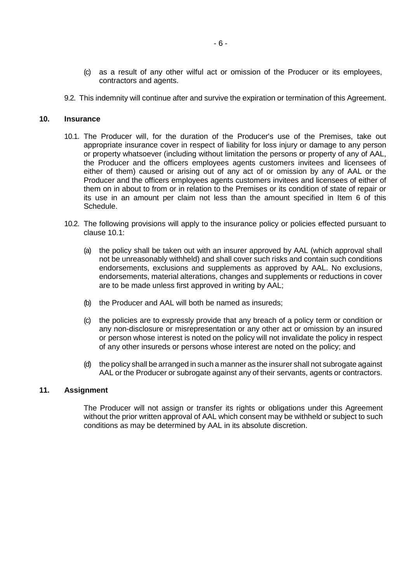- (c) as a result of any other wilful act or omission of the Producer or its employees, contractors and agents.
- 9.2. This indemnity will continue after and survive the expiration or termination of this Agreement.

## **10. Insurance**

- 10.1. The Producer will, for the duration of the Producer's use of the Premises, take out appropriate insurance cover in respect of liability for loss injury or damage to any person or property whatsoever (including without limitation the persons or property of any of AAL, the Producer and the officers employees agents customers invitees and licensees of either of them) caused or arising out of any act of or omission by any of AAL or the Producer and the officers employees agents customers invitees and licensees of either of them on in about to from or in relation to the Premises or its condition of state of repair or its use in an amount per claim not less than the amount specified in Item 6 of this Schedule.
- 10.2. The following provisions will apply to the insurance policy or policies effected pursuant to clause 10.1:
	- (a) the policy shall be taken out with an insurer approved by AAL (which approval shall not be unreasonably withheld) and shall cover such risks and contain such conditions endorsements, exclusions and supplements as approved by AAL. No exclusions, endorsements, material alterations, changes and supplements or reductions in cover are to be made unless first approved in writing by AAL;
	- (b) the Producer and AAL will both be named as insureds;
	- (c) the policies are to expressly provide that any breach of a policy term or condition or any non-disclosure or misrepresentation or any other act or omission by an insured or person whose interest is noted on the policy will not invalidate the policy in respect of any other insureds or persons whose interest are noted on the policy; and
	- (d) the policy shall be arranged in such a manner as the insurer shall not subrogate against AAL or the Producer or subrogate against any of their servants, agents or contractors.

## **11. Assignment**

The Producer will not assign or transfer its rights or obligations under this Agreement without the prior written approval of AAL which consent may be withheld or subject to such conditions as may be determined by AAL in its absolute discretion.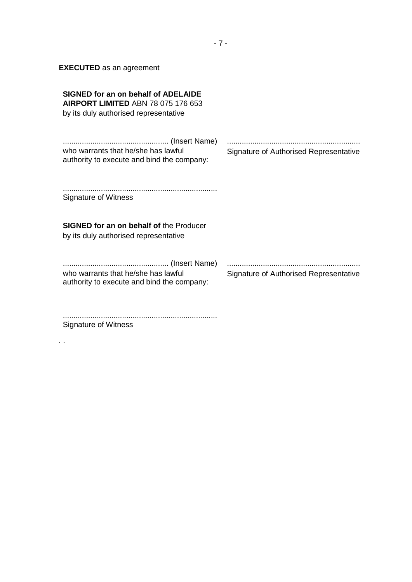**EXECUTED** as an agreement

| SIGNED for an on behalf of ADELAIDE<br><b>AIRPORT LIMITED ABN 78 075 176 653</b><br>by its duly authorised representative |                                        |
|---------------------------------------------------------------------------------------------------------------------------|----------------------------------------|
| who warrants that he/she has lawful<br>authority to execute and bind the company:                                         | Signature of Authorised Representative |
| Signature of Witness                                                                                                      |                                        |
| <b>SIGNED for an on behalf of the Producer</b><br>by its duly authorised representative                                   |                                        |
| who warrants that he/she has lawful<br>authority to execute and bind the company:                                         | Signature of Authorised Representative |

......................................................................... Signature of Witness